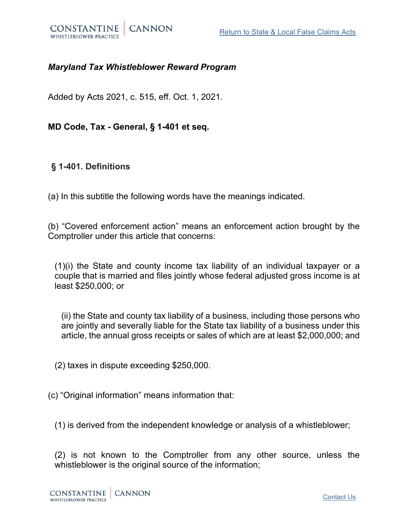

## *Maryland Tax Whistleblower Reward Program*

Added by Acts 2021, c. 515, eff. Oct. 1, 2021.

**MD Code, Tax - General, § 1-401 et seq.**

**§ 1-401. Definitions**

(a) In this subtitle the following words have the meanings indicated.

(b) "Covered enforcement action" means an enforcement action brought by the Comptroller under this article that concerns:

(1)(i) the State and county income tax liability of an individual taxpayer or a couple that is married and files jointly whose federal adjusted gross income is at least \$250,000; or

(ii) the State and county tax liability of a business, including those persons who are jointly and severally liable for the State tax liability of a business under this article, the annual gross receipts or sales of which are at least \$2,000,000; and

(2) taxes in dispute exceeding \$250,000.

(c) "Original information" means information that:

(1) is derived from the independent knowledge or analysis of a whistleblower;

(2) is not known to the Comptroller from any other source, unless the whistleblower is the original source of the information;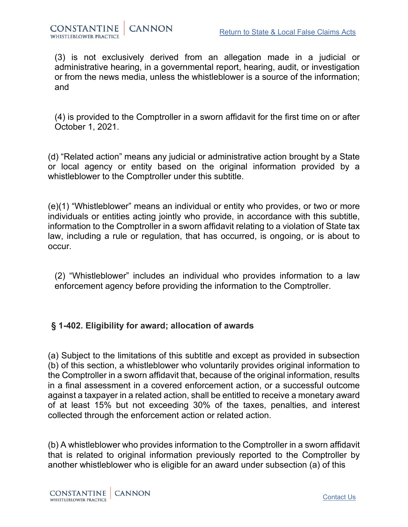(3) is not exclusively derived from an allegation made in a judicial or administrative hearing, in a governmental report, hearing, audit, or investigation or from the news media, unless the whistleblower is a source of the information; and

(4) is provided to the Comptroller in a sworn affidavit for the first time on or after October 1, 2021.

(d) "Related action" means any judicial or administrative action brought by a State or local agency or entity based on the original information provided by a whistleblower to the Comptroller under this subtitle.

(e)(1) "Whistleblower" means an individual or entity who provides, or two or more individuals or entities acting jointly who provide, in accordance with this subtitle, information to the Comptroller in a sworn affidavit relating to a violation of State tax law, including a rule or regulation, that has occurred, is ongoing, or is about to occur.

(2) "Whistleblower" includes an individual who provides information to a law enforcement agency before providing the information to the Comptroller.

# **§ 1-402. Eligibility for award; allocation of awards**

(a) Subject to the limitations of this subtitle and except as provided in subsection (b) of this section, a whistleblower who voluntarily provides original information to the Comptroller in a sworn affidavit that, because of the original information, results in a final assessment in a covered enforcement action, or a successful outcome against a taxpayer in a related action, shall be entitled to receive a monetary award of at least 15% but not exceeding 30% of the taxes, penalties, and interest collected through the enforcement action or related action.

(b) A whistleblower who provides information to the Comptroller in a sworn affidavit that is related to original information previously reported to the Comptroller by another whistleblower who is eligible for an award under subsection (a) of this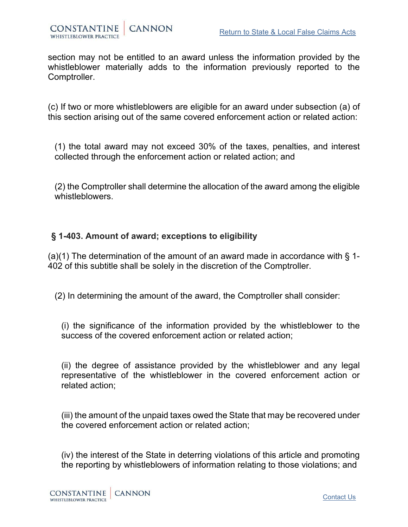section may not be entitled to an award unless the information provided by the whistleblower materially adds to the information previously reported to the Comptroller.

(c) If two or more whistleblowers are eligible for an award under subsection (a) of this section arising out of the same covered enforcement action or related action:

(1) the total award may not exceed 30% of the taxes, penalties, and interest collected through the enforcement action or related action; and

(2) the Comptroller shall determine the allocation of the award among the eligible whistleblowers.

## **§ 1-403. Amount of award; exceptions to eligibility**

(a)(1) The determination of the amount of an award made in accordance with  $\S$  1-402 of this subtitle shall be solely in the discretion of the Comptroller.

(2) In determining the amount of the award, the Comptroller shall consider:

(i) the significance of the information provided by the whistleblower to the success of the covered enforcement action or related action:

(ii) the degree of assistance provided by the whistleblower and any legal representative of the whistleblower in the covered enforcement action or related action;

(iii) the amount of the unpaid taxes owed the State that may be recovered under the covered enforcement action or related action;

(iv) the interest of the State in deterring violations of this article and promoting the reporting by whistleblowers of information relating to those violations; and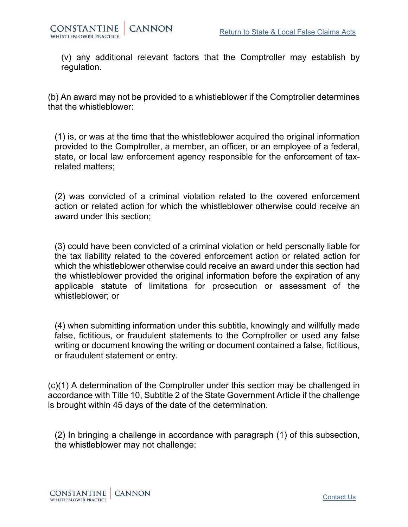

(v) any additional relevant factors that the Comptroller may establish by regulation.

(b) An award may not be provided to a whistleblower if the Comptroller determines that the whistleblower:

(1) is, or was at the time that the whistleblower acquired the original information provided to the Comptroller, a member, an officer, or an employee of a federal, state, or local law enforcement agency responsible for the enforcement of taxrelated matters;

(2) was convicted of a criminal violation related to the covered enforcement action or related action for which the whistleblower otherwise could receive an award under this section;

(3) could have been convicted of a criminal violation or held personally liable for the tax liability related to the covered enforcement action or related action for which the whistleblower otherwise could receive an award under this section had the whistleblower provided the original information before the expiration of any applicable statute of limitations for prosecution or assessment of the whistleblower; or

(4) when submitting information under this subtitle, knowingly and willfully made false, fictitious, or fraudulent statements to the Comptroller or used any false writing or document knowing the writing or document contained a false, fictitious, or fraudulent statement or entry.

(c)(1) A determination of the Comptroller under this section may be challenged in accordance with Title 10, Subtitle 2 of the State Government Article if the challenge is brought within 45 days of the date of the determination.

(2) In bringing a challenge in accordance with paragraph (1) of this subsection, the whistleblower may not challenge: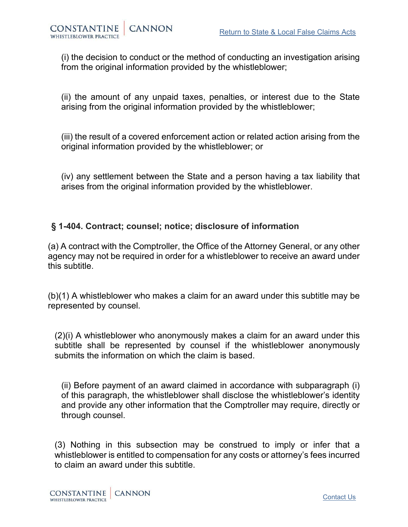(i) the decision to conduct or the method of conducting an investigation arising from the original information provided by the whistleblower;

(ii) the amount of any unpaid taxes, penalties, or interest due to the State arising from the original information provided by the whistleblower;

(iii) the result of a covered enforcement action or related action arising from the original information provided by the whistleblower; or

(iv) any settlement between the State and a person having a tax liability that arises from the original information provided by the whistleblower.

## **§ 1-404. Contract; counsel; notice; disclosure of information**

(a) A contract with the Comptroller, the Office of the Attorney General, or any other agency may not be required in order for a whistleblower to receive an award under this subtitle.

(b)(1) A whistleblower who makes a claim for an award under this subtitle may be represented by counsel.

(2)(i) A whistleblower who anonymously makes a claim for an award under this subtitle shall be represented by counsel if the whistleblower anonymously submits the information on which the claim is based.

(ii) Before payment of an award claimed in accordance with subparagraph (i) of this paragraph, the whistleblower shall disclose the whistleblower's identity and provide any other information that the Comptroller may require, directly or through counsel.

(3) Nothing in this subsection may be construed to imply or infer that a whistleblower is entitled to compensation for any costs or attorney's fees incurred to claim an award under this subtitle.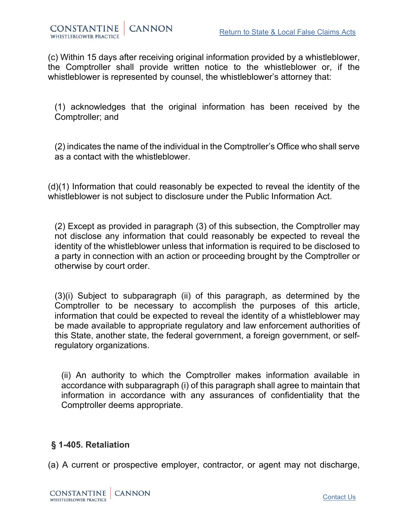(c) Within 15 days after receiving original information provided by a whistleblower, the Comptroller shall provide written notice to the whistleblower or, if the whistleblower is represented by counsel, the whistleblower's attorney that:

(1) acknowledges that the original information has been received by the Comptroller; and

(2) indicates the name of the individual in the Comptroller's Office who shall serve as a contact with the whistleblower.

(d)(1) Information that could reasonably be expected to reveal the identity of the whistleblower is not subject to disclosure under the Public Information Act.

(2) Except as provided in paragraph (3) of this subsection, the Comptroller may not disclose any information that could reasonably be expected to reveal the identity of the whistleblower unless that information is required to be disclosed to a party in connection with an action or proceeding brought by the Comptroller or otherwise by court order.

(3)(i) Subject to subparagraph (ii) of this paragraph, as determined by the Comptroller to be necessary to accomplish the purposes of this article, information that could be expected to reveal the identity of a whistleblower may be made available to appropriate regulatory and law enforcement authorities of this State, another state, the federal government, a foreign government, or selfregulatory organizations.

(ii) An authority to which the Comptroller makes information available in accordance with subparagraph (i) of this paragraph shall agree to maintain that information in accordance with any assurances of confidentiality that the Comptroller deems appropriate.

## **§ 1-405. Retaliation**

(a) A current or prospective employer, contractor, or agent may not discharge,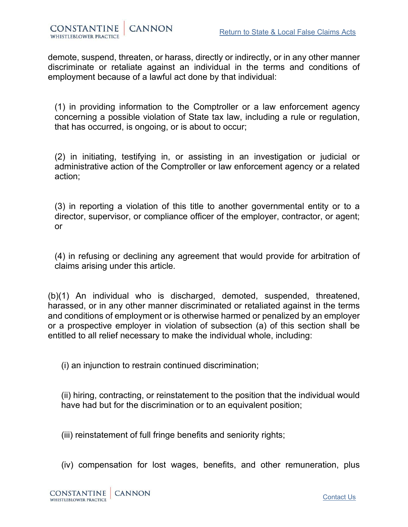demote, suspend, threaten, or harass, directly or indirectly, or in any other manner discriminate or retaliate against an individual in the terms and conditions of employment because of a lawful act done by that individual:

(1) in providing information to the Comptroller or a law enforcement agency concerning a possible violation of State tax law, including a rule or regulation, that has occurred, is ongoing, or is about to occur;

(2) in initiating, testifying in, or assisting in an investigation or judicial or administrative action of the Comptroller or law enforcement agency or a related action;

(3) in reporting a violation of this title to another governmental entity or to a director, supervisor, or compliance officer of the employer, contractor, or agent; or

(4) in refusing or declining any agreement that would provide for arbitration of claims arising under this article.

(b)(1) An individual who is discharged, demoted, suspended, threatened, harassed, or in any other manner discriminated or retaliated against in the terms and conditions of employment or is otherwise harmed or penalized by an employer or a prospective employer in violation of subsection (a) of this section shall be entitled to all relief necessary to make the individual whole, including:

(i) an injunction to restrain continued discrimination;

(ii) hiring, contracting, or reinstatement to the position that the individual would have had but for the discrimination or to an equivalent position;

(iii) reinstatement of full fringe benefits and seniority rights;

(iv) compensation for lost wages, benefits, and other remuneration, plus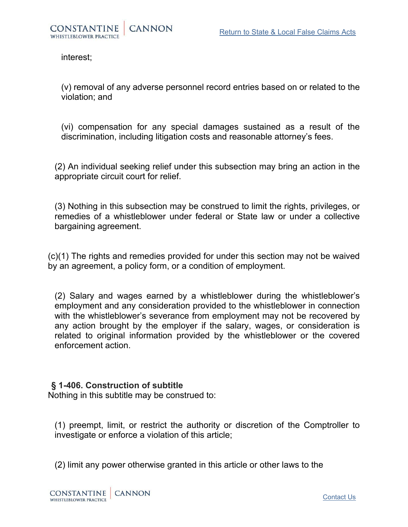interest;

(v) removal of any adverse personnel record entries based on or related to the violation; and

(vi) compensation for any special damages sustained as a result of the discrimination, including litigation costs and reasonable attorney's fees.

(2) An individual seeking relief under this subsection may bring an action in the appropriate circuit court for relief.

(3) Nothing in this subsection may be construed to limit the rights, privileges, or remedies of a whistleblower under federal or State law or under a collective bargaining agreement.

(c)(1) The rights and remedies provided for under this section may not be waived by an agreement, a policy form, or a condition of employment.

(2) Salary and wages earned by a whistleblower during the whistleblower's employment and any consideration provided to the whistleblower in connection with the whistleblower's severance from employment may not be recovered by any action brought by the employer if the salary, wages, or consideration is related to original information provided by the whistleblower or the covered enforcement action.

#### **§ 1-406. Construction of subtitle**

Nothing in this subtitle may be construed to:

(1) preempt, limit, or restrict the authority or discretion of the Comptroller to investigate or enforce a violation of this article;

(2) limit any power otherwise granted in this article or other laws to the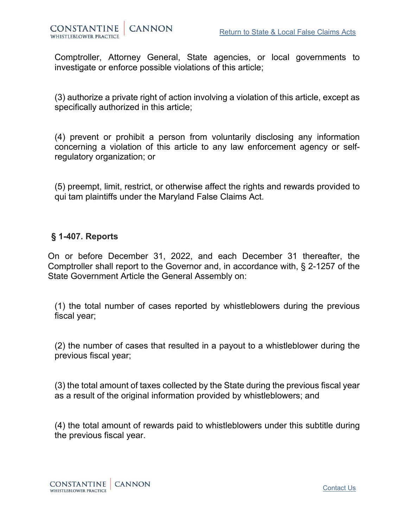

Comptroller, Attorney General, State agencies, or local governments to investigate or enforce possible violations of this article;

(3) authorize a private right of action involving a violation of this article, except as specifically authorized in this article;

(4) prevent or prohibit a person from voluntarily disclosing any information concerning a violation of this article to any law enforcement agency or selfregulatory organization; or

(5) preempt, limit, restrict, or otherwise affect the rights and rewards provided to qui tam plaintiffs under the Maryland False Claims Act.

#### **§ 1-407. Reports**

On or before December 31, 2022, and each December 31 thereafter, the Comptroller shall report to the Governor and, in accordance with, § 2-1257 of the State Government Article the General Assembly on:

(1) the total number of cases reported by whistleblowers during the previous fiscal year;

(2) the number of cases that resulted in a payout to a whistleblower during the previous fiscal year;

(3) the total amount of taxes collected by the State during the previous fiscal year as a result of the original information provided by whistleblowers; and

(4) the total amount of rewards paid to whistleblowers under this subtitle during the previous fiscal year.